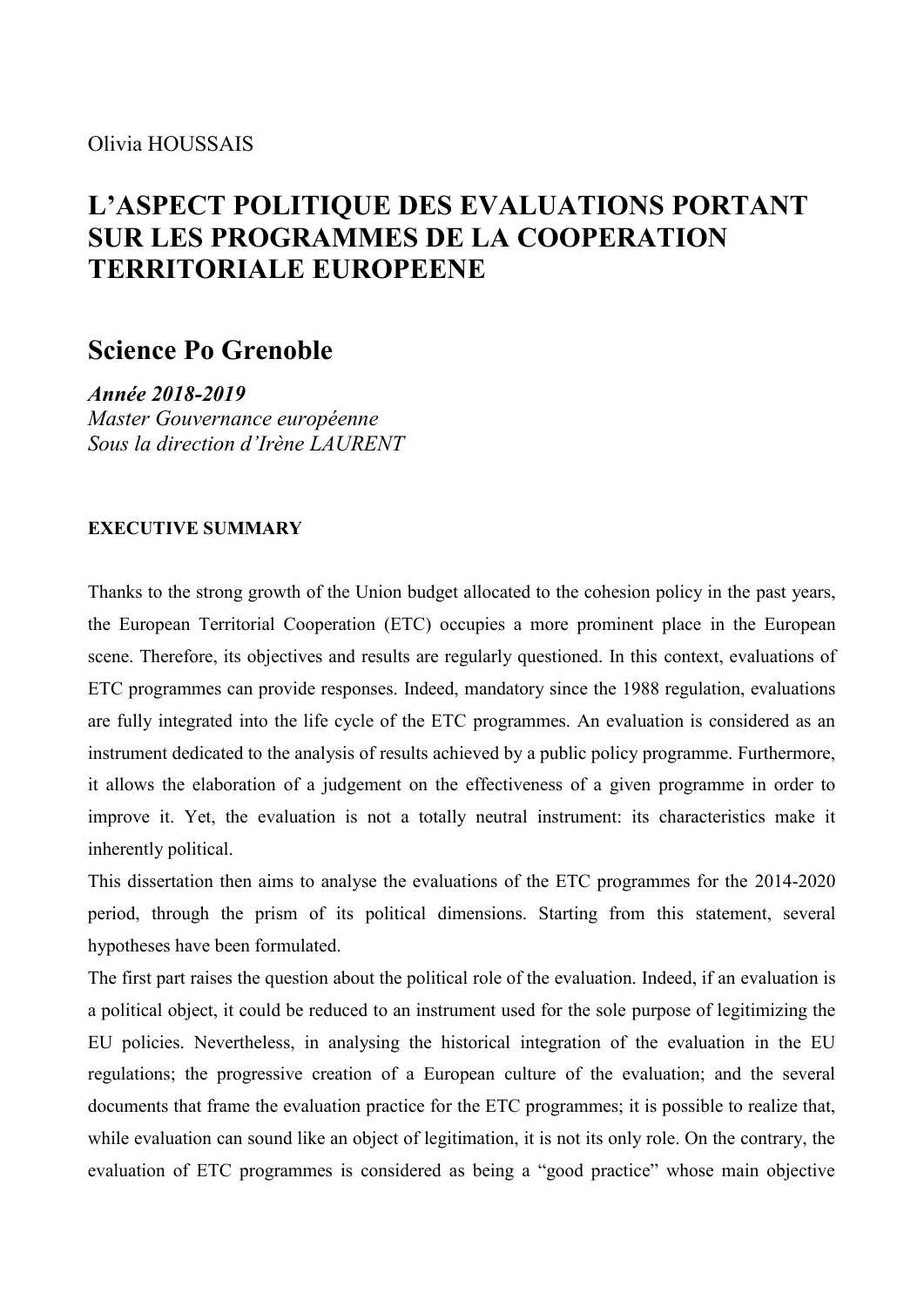## **L'ASPECT POLITIQUE DES EVALUATIONS PORTANT SUR LES PROGRAMMES DE LA COOPERATION TERRITORIALE EUROPEENE**

## **Science Po Grenoble**

*Année 2018-2019 Master Gouvernance européenne Sous la direction d'Irène LAURENT*

## **EXECUTIVE SUMMARY**

Thanks to the strong growth of the Union budget allocated to the cohesion policy in the past years, the European Territorial Cooperation (ETC) occupies a more prominent place in the European scene. Therefore, its objectives and results are regularly questioned. In this context, evaluations of ETC programmes can provide responses. Indeed, mandatory since the 1988 regulation, evaluations are fully integrated into the life cycle of the ETC programmes. An evaluation is considered as an instrument dedicated to the analysis of results achieved by a public policy programme. Furthermore, it allows the elaboration of a judgement on the effectiveness of a given programme in order to improve it. Yet, the evaluation is not a totally neutral instrument: its characteristics make it inherently political.

This dissertation then aims to analyse the evaluations of the ETC programmes for the 2014-2020 period, through the prism of its political dimensions. Starting from this statement, several hypotheses have been formulated.

The first part raises the question about the political role of the evaluation. Indeed, if an evaluation is a political object, it could be reduced to an instrument used for the sole purpose of legitimizing the EU policies. Nevertheless, in analysing the historical integration of the evaluation in the EU regulations; the progressive creation of a European culture of the evaluation; and the several documents that frame the evaluation practice for the ETC programmes; it is possible to realize that, while evaluation can sound like an object of legitimation, it is not its only role. On the contrary, the evaluation of ETC programmes is considered as being a "good practice" whose main objective